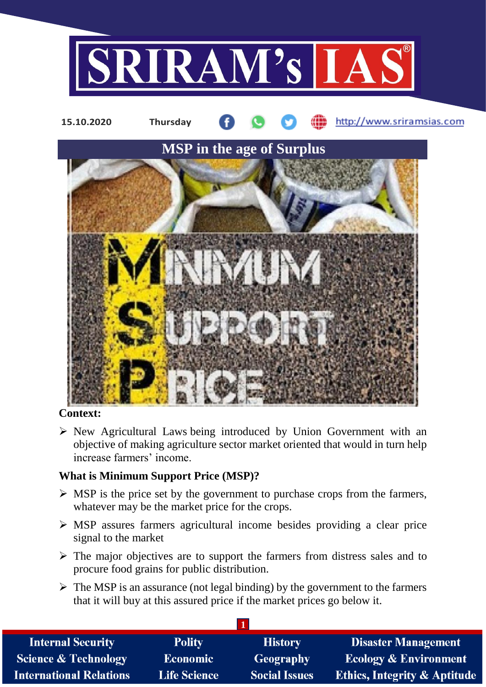

## **Context:**

 $\triangleright$  New Agricultural Laws being introduced by Union Government with an objective of making agriculture sector market oriented that would in turn help increase farmers' income.

## **What is Minimum Support Price (MSP)?**

- $\triangleright$  MSP is the price set by the government to purchase crops from the farmers, whatever may be the market price for the crops.
- MSP assures farmers agricultural income besides providing a clear price signal to the market
- $\triangleright$  The major objectives are to support the farmers from distress sales and to procure food grains for public distribution.
- $\triangleright$  The MSP is an assurance (not legal binding) by the government to the farmers that it will buy at this assured price if the market prices go below it.

| <b>Internal Security</b>        | <b>Polity</b>       | <b>History</b>       | <b>Disaster Management</b>              |
|---------------------------------|---------------------|----------------------|-----------------------------------------|
| <b>Science &amp; Technology</b> | <b>Economic</b>     | Geography            | <b>Ecology &amp; Environment</b>        |
| <b>International Relations</b>  | <b>Life Science</b> | <b>Social Issues</b> | <b>Ethics, Integrity &amp; Aptitude</b> |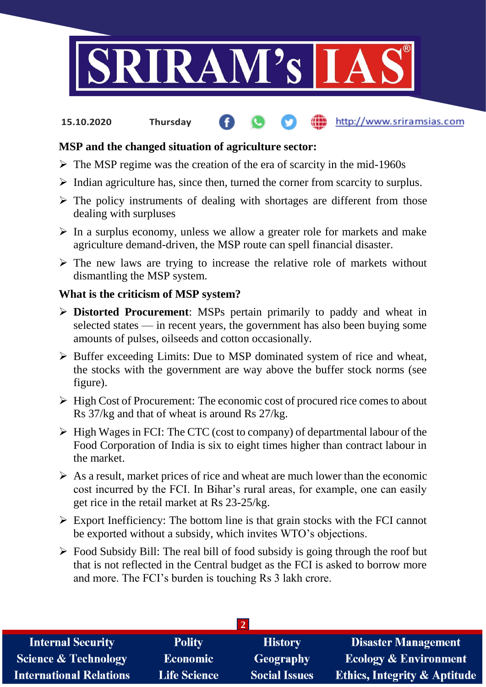

#### http://www.sriramsias.com **15.10.2020 Thursday**

# **MSP and the changed situation of agriculture sector:**

- $\triangleright$  The MSP regime was the creation of the era of scarcity in the mid-1960s
- $\triangleright$  Indian agriculture has, since then, turned the corner from scarcity to surplus.
- $\triangleright$  The policy instruments of dealing with shortages are different from those dealing with surpluses
- $\triangleright$  In a surplus economy, unless we allow a greater role for markets and make agriculture demand-driven, the MSP route can spell financial disaster.
- $\triangleright$  The new laws are trying to increase the relative role of markets without dismantling the MSP system.

## **What is the criticism of MSP system?**

- **Distorted Procurement**: MSPs pertain primarily to paddy and wheat in selected states — in recent years, the government has also been buying some amounts of pulses, oilseeds and cotton occasionally.
- $\triangleright$  Buffer exceeding Limits: Due to MSP dominated system of rice and wheat, the stocks with the government are way above the buffer stock norms (see figure).
- $\triangleright$  High Cost of Procurement: The economic cost of procured rice comes to about Rs 37/kg and that of wheat is around Rs 27/kg.
- $\triangleright$  High Wages in FCI: The CTC (cost to company) of departmental labour of the Food Corporation of India is six to eight times higher than contract labour in the market.
- $\triangleright$  As a result, market prices of rice and wheat are much lower than the economic cost incurred by the FCI. In Bihar's rural areas, for example, one can easily get rice in the retail market at Rs 23-25/kg.
- $\triangleright$  Export Inefficiency: The bottom line is that grain stocks with the FCI cannot be exported without a subsidy, which invites WTO's objections.
- $\triangleright$  Food Subsidy Bill: The real bill of food subsidy is going through the roof but that is not reflected in the Central budget as the FCI is asked to borrow more and more. The FCI's burden is touching Rs 3 lakh crore.

| <b>Internal Security</b>        | <b>Polity</b>       | <b>History</b>       | <b>Disaster Management</b>              |  |  |
|---------------------------------|---------------------|----------------------|-----------------------------------------|--|--|
| <b>Science &amp; Technology</b> | Economic            | Geography            | <b>Ecology &amp; Environment</b>        |  |  |
| <b>International Relations</b>  | <b>Life Science</b> | <b>Social Issues</b> | <b>Ethics, Integrity &amp; Aptitude</b> |  |  |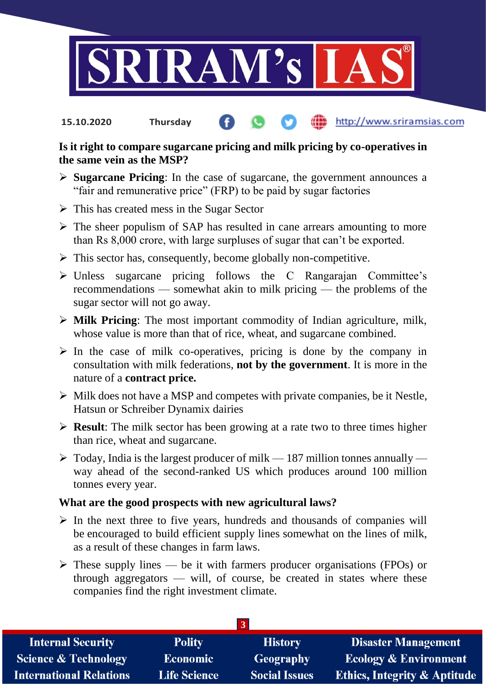

http://www.sriramsias.com **15.10.2020 Thursday**

## **Is it right to compare sugarcane pricing and milk pricing by co-operatives in the same vein as the MSP?**

- **Sugarcane Pricing**: In the case of sugarcane, the government announces a "fair and remunerative price" (FRP) to be paid by sugar factories
- $\triangleright$  This has created mess in the Sugar Sector
- $\triangleright$  The sheer populism of SAP has resulted in cane arrears amounting to more than Rs 8,000 crore, with large surpluses of sugar that can't be exported.
- $\triangleright$  This sector has, consequently, become globally non-competitive.
- $\triangleright$  Unless sugarcane pricing follows the C Rangarajan Committee's recommendations — somewhat akin to milk pricing — the problems of the sugar sector will not go away.
- **Milk Pricing**: The most important commodity of Indian agriculture, milk, whose value is more than that of rice, wheat, and sugarcane combined.
- $\triangleright$  In the case of milk co-operatives, pricing is done by the company in consultation with milk federations, **not by the government**. It is more in the nature of a **contract price.**
- $\triangleright$  Milk does not have a MSP and competes with private companies, be it Nestle, Hatsun or Schreiber Dynamix dairies
- **Result:** The milk sector has been growing at a rate two to three times higher than rice, wheat and sugarcane.
- $\triangleright$  Today, India is the largest producer of milk 187 million tonnes annually way ahead of the second-ranked US which produces around 100 million tonnes every year.

## **What are the good prospects with new agricultural laws?**

- $\triangleright$  In the next three to five years, hundreds and thousands of companies will be encouraged to build efficient supply lines somewhat on the lines of milk, as a result of these changes in farm laws.
- $\triangleright$  These supply lines be it with farmers producer organisations (FPOs) or through aggregators — will, of course, be created in states where these companies find the right investment climate.

| <b>Internal Security</b>        | <b>Polity</b>       | <b>History</b>       | <b>Disaster Management</b>              |
|---------------------------------|---------------------|----------------------|-----------------------------------------|
| <b>Science &amp; Technology</b> | <b>Economic</b>     | <b>Geography</b>     | <b>Ecology &amp; Environment</b>        |
| <b>International Relations</b>  | <b>Life Science</b> | <b>Social Issues</b> | <b>Ethics, Integrity &amp; Aptitude</b> |